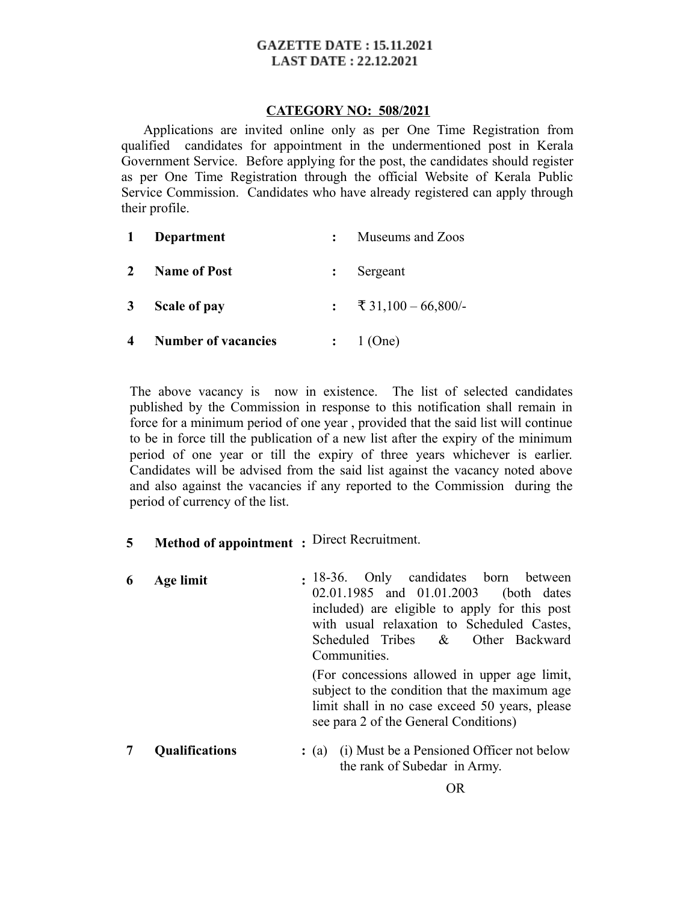#### **GAZETTE DATE: 15.11.2021 LAST DATE: 22.12.2021**

#### **CATEGORY NO: 508/2021**

 Applications are invited online only as per One Time Registration from qualified candidates for appointment in the undermentioned post in Kerala Government Service. Before applying for the post, the candidates should register as per One Time Registration through the official Website of Kerala Public Service Commission. Candidates who have already registered can apply through their profile.

|                | Department                 | Museums and Zoos      |
|----------------|----------------------------|-----------------------|
| $\mathbf{2}$   | <b>Name of Post</b>        | Sergeant              |
| $\mathbf{3}$   | Scale of pay               | : ₹ 31,100 – 66,800/- |
| $\overline{4}$ | <b>Number of vacancies</b> | $:$ 1 (One)           |

The above vacancy is now in existence. The list of selected candidates published by the Commission in response to this notification shall remain in force for a minimum period of one year , provided that the said list will continue to be in force till the publication of a new list after the expiry of the minimum period of one year or till the expiry of three years whichever is earlier. Candidates will be advised from the said list against the vacancy noted above and also against the vacancies if any reported to the Commission during the period of currency of the list.

- **5 Method of appointment :** Direct Recruitment.
- **6 Age limit :** 18-36. Only candidates born between 02.01.1985 and 01.01.2003 (both dates included) are eligible to apply for this post with usual relaxation to Scheduled Castes, Scheduled Tribes & Other Backward Communities. (For concessions allowed in upper age limit, subject to the condition that the maximum age limit shall in no case exceed 50 years, please see para 2 of the General Conditions)
- **7 Qualifications** : (a) (i) Must be a Pensioned Officer not below the rank of Subedar in Army.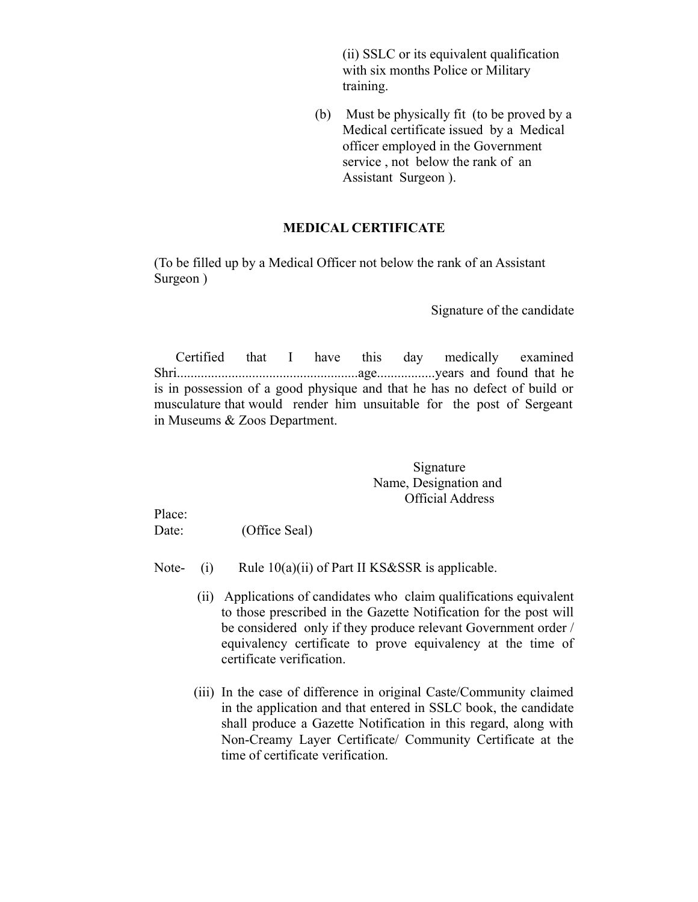(ii) SSLC or its equivalent qualification with six months Police or Military training.

(b) Must be physically fit (to be proved by a Medical certificate issued by a Medical officer employed in the Government service , not below the rank of an Assistant Surgeon ).

### **MEDICAL CERTIFICATE**

(To be filled up by a Medical Officer not below the rank of an Assistant Surgeon )

Signature of the candidate

 Certified that I have this day medically examined Shri.....................................................age.................years and found that he is in possession of a good physique and that he has no defect of build or musculature that would render him unsuitable for the post of Sergeant in Museums & Zoos Department.

> Signature Name, Designation and Official Address

Place:

Date: (Office Seal)

- Note- (i) Rule  $10(a)(ii)$  of Part II KS&SSR is applicable.
	- (ii) Applications of candidates who claim qualifications equivalent to those prescribed in the Gazette Notification for the post will be considered only if they produce relevant Government order / equivalency certificate to prove equivalency at the time of certificate verification.
	- (iii) In the case of difference in original Caste/Community claimed in the application and that entered in SSLC book, the candidate shall produce a Gazette Notification in this regard, along with Non-Creamy Layer Certificate/ Community Certificate at the time of certificate verification.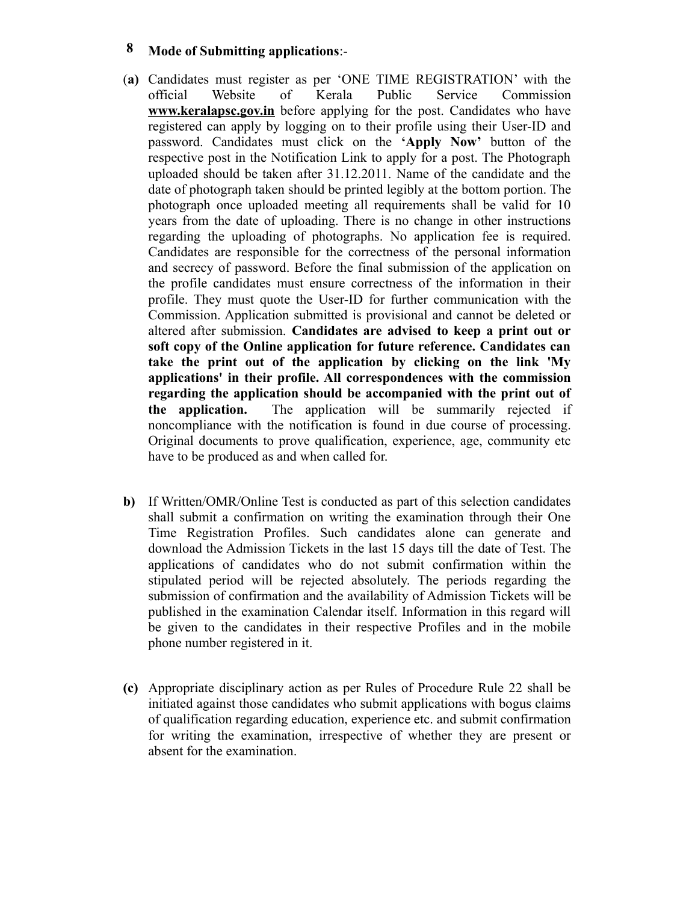## **8 Mode of Submitting applications**:-

- (**a)** Candidates must register as per 'ONE TIME REGISTRATION' with the official Website of Kerala Public Service Commission **www.keralapsc.gov.in** before applying for the post. Candidates who have registered can apply by logging on to their profile using their User-ID and password. Candidates must click on the **'Apply Now'** button of the respective post in the Notification Link to apply for a post. The Photograph uploaded should be taken after 31.12.2011. Name of the candidate and the date of photograph taken should be printed legibly at the bottom portion. The photograph once uploaded meeting all requirements shall be valid for 10 years from the date of uploading. There is no change in other instructions regarding the uploading of photographs. No application fee is required. Candidates are responsible for the correctness of the personal information and secrecy of password. Before the final submission of the application on the profile candidates must ensure correctness of the information in their profile. They must quote the User-ID for further communication with the Commission. Application submitted is provisional and cannot be deleted or altered after submission. **Candidates are advised to keep a print out or soft copy of the Online application for future reference. Candidates can take the print out of the application by clicking on the link 'My applications' in their profile. All correspondences with the commission regarding the application should be accompanied with the print out of the application.** The application will be summarily rejected if noncompliance with the notification is found in due course of processing. Original documents to prove qualification, experience, age, community etc have to be produced as and when called for.
- **b)** If Written/OMR/Online Test is conducted as part of this selection candidates shall submit a confirmation on writing the examination through their One Time Registration Profiles. Such candidates alone can generate and download the Admission Tickets in the last 15 days till the date of Test. The applications of candidates who do not submit confirmation within the stipulated period will be rejected absolutely. The periods regarding the submission of confirmation and the availability of Admission Tickets will be published in the examination Calendar itself. Information in this regard will be given to the candidates in their respective Profiles and in the mobile phone number registered in it.
- **(c)** Appropriate disciplinary action as per Rules of Procedure Rule 22 shall be initiated against those candidates who submit applications with bogus claims of qualification regarding education, experience etc. and submit confirmation for writing the examination, irrespective of whether they are present or absent for the examination.